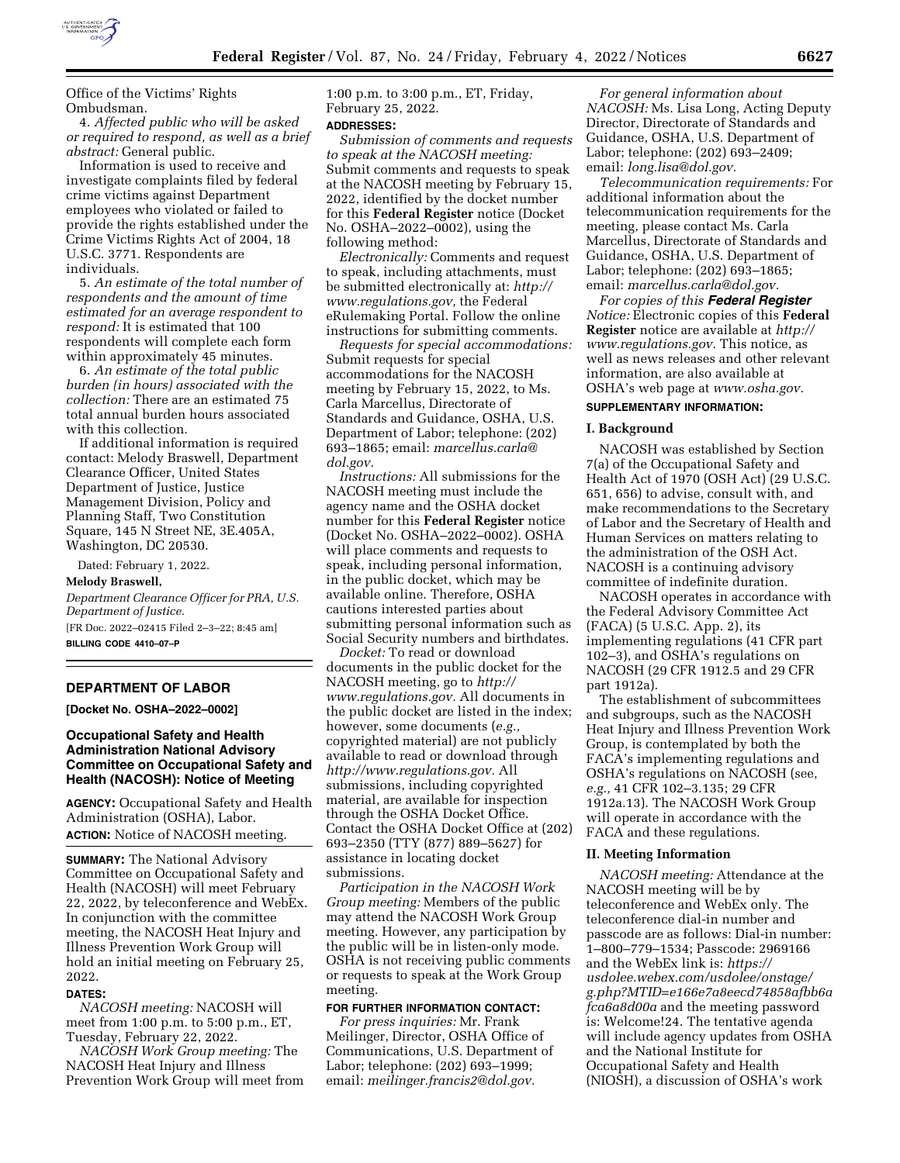

Office of the Victims' Rights Ombudsman.

4. *Affected public who will be asked or required to respond, as well as a brief abstract:* General public.

Information is used to receive and investigate complaints filed by federal crime victims against Department employees who violated or failed to provide the rights established under the Crime Victims Rights Act of 2004, 18 U.S.C. 3771. Respondents are individuals.

5. *An estimate of the total number of respondents and the amount of time estimated for an average respondent to respond:* It is estimated that 100 respondents will complete each form within approximately 45 minutes.

6. *An estimate of the total public burden (in hours) associated with the collection:* There are an estimated 75 total annual burden hours associated with this collection.

If additional information is required contact: Melody Braswell, Department Clearance Officer, United States Department of Justice, Justice Management Division, Policy and Planning Staff, Two Constitution Square, 145 N Street NE, 3E.405A, Washington, DC 20530.

Dated: February 1, 2022.

# **Melody Braswell,**

*Department Clearance Officer for PRA, U.S. Department of Justice.*  [FR Doc. 2022–02415 Filed 2–3–22; 8:45 am]

**BILLING CODE 4410–07–P** 

### **DEPARTMENT OF LABOR**

**[Docket No. OSHA–2022–0002]** 

# **Occupational Safety and Health Administration National Advisory Committee on Occupational Safety and Health (NACOSH): Notice of Meeting**

**AGENCY:** Occupational Safety and Health Administration (OSHA), Labor. **ACTION:** Notice of NACOSH meeting.

**SUMMARY:** The National Advisory Committee on Occupational Safety and Health (NACOSH) will meet February 22, 2022, by teleconference and WebEx. In conjunction with the committee meeting, the NACOSH Heat Injury and Illness Prevention Work Group will hold an initial meeting on February 25, 2022.

# **DATES:**

*NACOSH meeting:* NACOSH will meet from 1:00 p.m. to 5:00 p.m., ET, Tuesday, February 22, 2022.

*NACOSH Work Group meeting:* The NACOSH Heat Injury and Illness Prevention Work Group will meet from 1:00 p.m. to 3:00 p.m., ET, Friday, February 25, 2022.

# **ADDRESSES:**

*Submission of comments and requests to speak at the NACOSH meeting:*  Submit comments and requests to speak at the NACOSH meeting by February 15, 2022, identified by the docket number for this **Federal Register** notice (Docket No. OSHA–2022–0002), using the following method:

*Electronically:* Comments and request to speak, including attachments, must be submitted electronically at: *[http://](http://www.regulations.gov) [www.regulations.gov,](http://www.regulations.gov)* the Federal eRulemaking Portal. Follow the online instructions for submitting comments.

*Requests for special accommodations:*  Submit requests for special accommodations for the NACOSH meeting by February 15, 2022, to Ms. Carla Marcellus, Directorate of Standards and Guidance, OSHA, U.S. Department of Labor; telephone: (202) 693–1865; email: *[marcellus.carla@](mailto:marcellus.carla@dol.gov) [dol.gov.](mailto:marcellus.carla@dol.gov)* 

*Instructions:* All submissions for the NACOSH meeting must include the agency name and the OSHA docket number for this **Federal Register** notice (Docket No. OSHA–2022–0002). OSHA will place comments and requests to speak, including personal information, in the public docket, which may be available online. Therefore, OSHA cautions interested parties about submitting personal information such as Social Security numbers and birthdates.

*Docket:* To read or download documents in the public docket for the NACOSH meeting, go to *[http://](http://www.regulations.gov) [www.regulations.gov.](http://www.regulations.gov)* All documents in the public docket are listed in the index; however, some documents (e.g. copyrighted material) are not publicly available to read or download through *[http://www.regulations.gov.](http://www.regulations.gov)* All submissions, including copyrighted material, are available for inspection through the OSHA Docket Office. Contact the OSHA Docket Office at (202) 693–2350 (TTY (877) 889–5627) for assistance in locating docket submissions.

*Participation in the NACOSH Work Group meeting:* Members of the public may attend the NACOSH Work Group meeting. However, any participation by the public will be in listen-only mode. OSHA is not receiving public comments or requests to speak at the Work Group meeting.

# **FOR FURTHER INFORMATION CONTACT:**

*For press inquiries:* Mr. Frank Meilinger, Director, OSHA Office of Communications, U.S. Department of Labor; telephone: (202) 693–1999; email: *[meilinger.francis2@dol.gov.](mailto:meilinger.francis2@dol.gov)* 

*For general information about NACOSH:* Ms. Lisa Long, Acting Deputy Director, Directorate of Standards and Guidance, OSHA, U.S. Department of Labor; telephone: (202) 693–2409; email: *[long.lisa@dol.gov.](mailto:long.lisa@dol.gov)* 

*Telecommunication requirements:* For additional information about the telecommunication requirements for the meeting, please contact Ms. Carla Marcellus, Directorate of Standards and Guidance, OSHA, U.S. Department of Labor; telephone: (202) 693–1865; email: *[marcellus.carla@dol.gov.](mailto:marcellus.carla@dol.gov)* 

*For copies of this Federal Register Notice:* Electronic copies of this **Federal Register** notice are available at *[http://](http://www.regulations.gov) [www.regulations.gov.](http://www.regulations.gov)* This notice, as well as news releases and other relevant information, are also available at OSHA's web page at *[www.osha.gov.](http://www.osha.gov)* 

### **SUPPLEMENTARY INFORMATION:**

#### **I. Background**

NACOSH was established by Section 7(a) of the Occupational Safety and Health Act of 1970 (OSH Act) (29 U.S.C. 651, 656) to advise, consult with, and make recommendations to the Secretary of Labor and the Secretary of Health and Human Services on matters relating to the administration of the OSH Act. NACOSH is a continuing advisory committee of indefinite duration.

NACOSH operates in accordance with the Federal Advisory Committee Act (FACA) (5 U.S.C. App. 2), its implementing regulations (41 CFR part 102–3), and OSHA's regulations on NACOSH (29 CFR 1912.5 and 29 CFR part 1912a).

The establishment of subcommittees and subgroups, such as the NACOSH Heat Injury and Illness Prevention Work Group, is contemplated by both the FACA's implementing regulations and OSHA's regulations on NACOSH (see, *e.g.,* 41 CFR 102–3.135; 29 CFR 1912a.13). The NACOSH Work Group will operate in accordance with the FACA and these regulations.

### **II. Meeting Information**

*NACOSH meeting:* Attendance at the NACOSH meeting will be by teleconference and WebEx only. The teleconference dial-in number and passcode are as follows: Dial-in number: 1–800–779–1534; Passcode: 2969166 and the WebEx link is: *[https://](https://usdolee.webex.com/usdolee/onstage/g.php?MTID=e166e7a8eecd74858afbb6afca6a8d00a) [usdolee.webex.com/usdolee/onstage/](https://usdolee.webex.com/usdolee/onstage/g.php?MTID=e166e7a8eecd74858afbb6afca6a8d00a) [g.php?MTID=e166e7a8eecd74858afbb6a](https://usdolee.webex.com/usdolee/onstage/g.php?MTID=e166e7a8eecd74858afbb6afca6a8d00a) [fca6a8d00a](https://usdolee.webex.com/usdolee/onstage/g.php?MTID=e166e7a8eecd74858afbb6afca6a8d00a)* and the meeting password is: Welcome!24. The tentative agenda will include agency updates from OSHA and the National Institute for Occupational Safety and Health (NIOSH), a discussion of OSHA's work